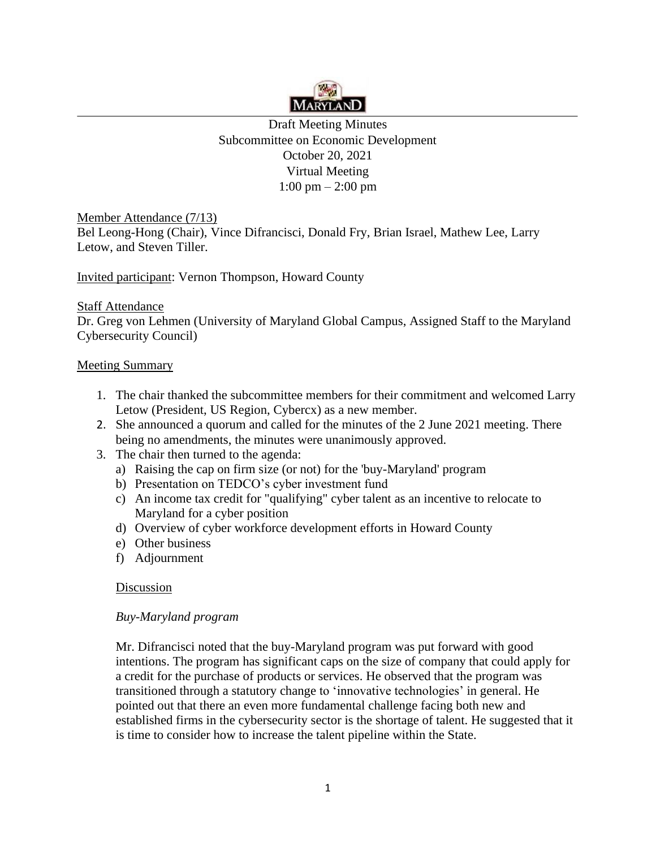

Draft Meeting Minutes Subcommittee on Economic Development October 20, 2021 Virtual Meeting  $1:00 \text{ pm} - 2:00 \text{ pm}$ 

Member Attendance (7/13)

Bel Leong-Hong (Chair), Vince Difrancisci, Donald Fry, Brian Israel, Mathew Lee, Larry Letow, and Steven Tiller.

Invited participant: Vernon Thompson, Howard County

## Staff Attendance

Dr. Greg von Lehmen (University of Maryland Global Campus, Assigned Staff to the Maryland Cybersecurity Council)

## Meeting Summary

- 1. The chair thanked the subcommittee members for their commitment and welcomed Larry Letow (President, US Region, Cybercx) as a new member.
- 2. She announced a quorum and called for the minutes of the 2 June 2021 meeting. There being no amendments, the minutes were unanimously approved.
- 3. The chair then turned to the agenda:
	- a) Raising the cap on firm size (or not) for the 'buy-Maryland' program
	- b) Presentation on TEDCO's cyber investment fund
	- c) An income tax credit for "qualifying" cyber talent as an incentive to relocate to Maryland for a cyber position
	- d) Overview of cyber workforce development efforts in Howard County
	- e) Other business
	- f) Adjournment

## Discussion

## *Buy-Maryland program*

Mr. Difrancisci noted that the buy-Maryland program was put forward with good intentions. The program has significant caps on the size of company that could apply for a credit for the purchase of products or services. He observed that the program was transitioned through a statutory change to 'innovative technologies' in general. He pointed out that there an even more fundamental challenge facing both new and established firms in the cybersecurity sector is the shortage of talent. He suggested that it is time to consider how to increase the talent pipeline within the State.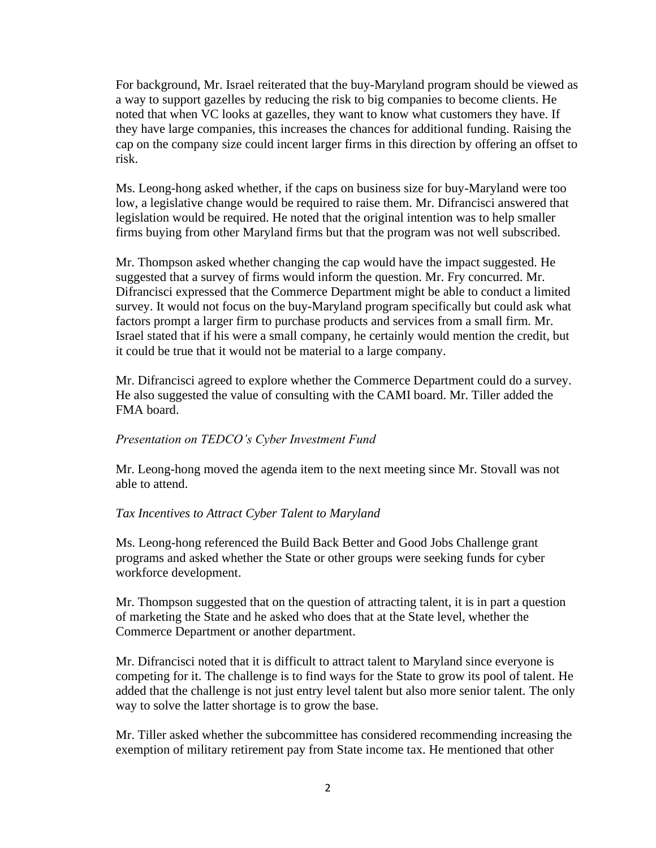For background, Mr. Israel reiterated that the buy-Maryland program should be viewed as a way to support gazelles by reducing the risk to big companies to become clients. He noted that when VC looks at gazelles, they want to know what customers they have. If they have large companies, this increases the chances for additional funding. Raising the cap on the company size could incent larger firms in this direction by offering an offset to risk.

Ms. Leong-hong asked whether, if the caps on business size for buy-Maryland were too low, a legislative change would be required to raise them. Mr. Difrancisci answered that legislation would be required. He noted that the original intention was to help smaller firms buying from other Maryland firms but that the program was not well subscribed.

Mr. Thompson asked whether changing the cap would have the impact suggested. He suggested that a survey of firms would inform the question. Mr. Fry concurred. Mr. Difrancisci expressed that the Commerce Department might be able to conduct a limited survey. It would not focus on the buy-Maryland program specifically but could ask what factors prompt a larger firm to purchase products and services from a small firm. Mr. Israel stated that if his were a small company, he certainly would mention the credit, but it could be true that it would not be material to a large company.

Mr. Difrancisci agreed to explore whether the Commerce Department could do a survey. He also suggested the value of consulting with the CAMI board. Mr. Tiller added the FMA board.

#### *Presentation on TEDCO's Cyber Investment Fund*

Mr. Leong-hong moved the agenda item to the next meeting since Mr. Stovall was not able to attend.

#### *Tax Incentives to Attract Cyber Talent to Maryland*

Ms. Leong-hong referenced the Build Back Better and Good Jobs Challenge grant programs and asked whether the State or other groups were seeking funds for cyber workforce development.

Mr. Thompson suggested that on the question of attracting talent, it is in part a question of marketing the State and he asked who does that at the State level, whether the Commerce Department or another department.

Mr. Difrancisci noted that it is difficult to attract talent to Maryland since everyone is competing for it. The challenge is to find ways for the State to grow its pool of talent. He added that the challenge is not just entry level talent but also more senior talent. The only way to solve the latter shortage is to grow the base.

Mr. Tiller asked whether the subcommittee has considered recommending increasing the exemption of military retirement pay from State income tax. He mentioned that other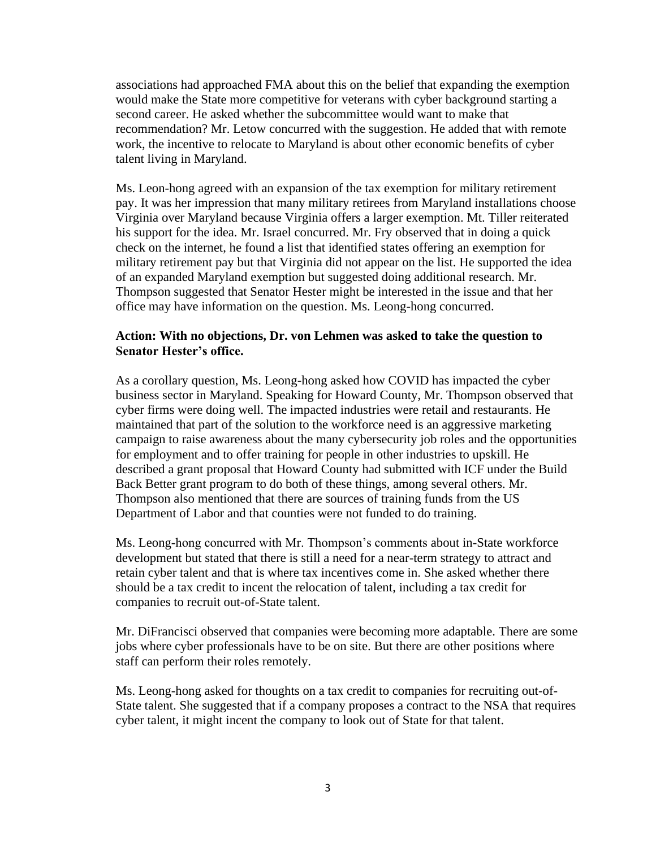associations had approached FMA about this on the belief that expanding the exemption would make the State more competitive for veterans with cyber background starting a second career. He asked whether the subcommittee would want to make that recommendation? Mr. Letow concurred with the suggestion. He added that with remote work, the incentive to relocate to Maryland is about other economic benefits of cyber talent living in Maryland.

Ms. Leon-hong agreed with an expansion of the tax exemption for military retirement pay. It was her impression that many military retirees from Maryland installations choose Virginia over Maryland because Virginia offers a larger exemption. Mt. Tiller reiterated his support for the idea. Mr. Israel concurred. Mr. Fry observed that in doing a quick check on the internet, he found a list that identified states offering an exemption for military retirement pay but that Virginia did not appear on the list. He supported the idea of an expanded Maryland exemption but suggested doing additional research. Mr. Thompson suggested that Senator Hester might be interested in the issue and that her office may have information on the question. Ms. Leong-hong concurred.

#### **Action: With no objections, Dr. von Lehmen was asked to take the question to Senator Hester's office.**

As a corollary question, Ms. Leong-hong asked how COVID has impacted the cyber business sector in Maryland. Speaking for Howard County, Mr. Thompson observed that cyber firms were doing well. The impacted industries were retail and restaurants. He maintained that part of the solution to the workforce need is an aggressive marketing campaign to raise awareness about the many cybersecurity job roles and the opportunities for employment and to offer training for people in other industries to upskill. He described a grant proposal that Howard County had submitted with ICF under the Build Back Better grant program to do both of these things, among several others. Mr. Thompson also mentioned that there are sources of training funds from the US Department of Labor and that counties were not funded to do training.

Ms. Leong-hong concurred with Mr. Thompson's comments about in-State workforce development but stated that there is still a need for a near-term strategy to attract and retain cyber talent and that is where tax incentives come in. She asked whether there should be a tax credit to incent the relocation of talent, including a tax credit for companies to recruit out-of-State talent.

Mr. DiFrancisci observed that companies were becoming more adaptable. There are some jobs where cyber professionals have to be on site. But there are other positions where staff can perform their roles remotely.

Ms. Leong-hong asked for thoughts on a tax credit to companies for recruiting out-of-State talent. She suggested that if a company proposes a contract to the NSA that requires cyber talent, it might incent the company to look out of State for that talent.